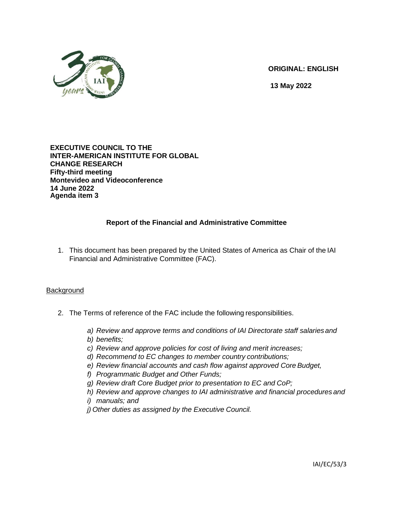

**ORIGINAL: ENGLISH** 

**13 May 2022**

### **EXECUTIVE COUNCIL TO THE INTER-AMERICAN INSTITUTE FOR GLOBAL CHANGE RESEARCH Fifty-third meeting Montevideo and Videoconference 14 June 2022 Agenda item 3**

# **Report of the Financial and Administrative Committee**

1. This document has been prepared by the United States of America as Chair of the IAI Financial and Administrative Committee (FAC).

## **Background**

- 2. The Terms of reference of the FAC include the following responsibilities.
	- *a) Review and approve terms and conditions of IAI Directorate staff salariesand*
	- *b) benefits;*
	- *c) Review and approve policies for cost of living and merit increases;*
	- *d) Recommend to EC changes to member country contributions;*
	- *e) Review financial accounts and cash flow against approved Core Budget,*
	- *f) Programmatic Budget and Other Funds;*
	- *g) Review draft Core Budget prior to presentation to EC and CoP;*
	- *h) Review and approve changes to IAI administrative and financial procedures and*
	- *i) manuals; and*
	- *j) Other duties as assigned by the Executive Council.*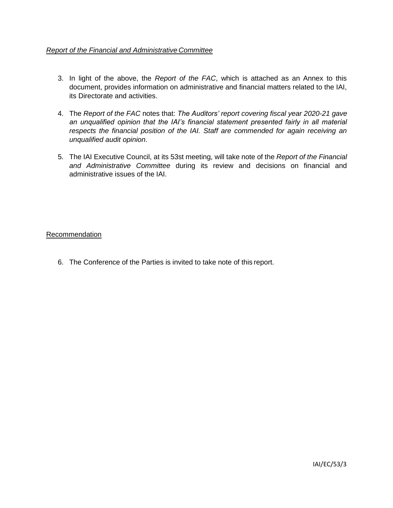## *Report of the Financial and Administrative Committee*

- 3. In light of the above, the *Report of the FAC*, which is attached as an Annex to this document, provides information on administrative and financial matters related to the IAI, its Directorate and activities.
- 4. The *Report of the FAC* notes that: *The Auditors' report covering fiscal year 2020-21 gave an unqualified opinion that the IAI's financial statement presented fairly in all material respects the financial position of the IAI. Staff are commended for again receiving an unqualified audit opinion*.
- 5. The IAI Executive Council, at its 53st meeting, will take note of the *Report of the Financial and Administrative Committee* during its review and decisions on financial and administrative issues of the IAI.

### Recommendation

6. The Conference of the Parties is invited to take note of this report.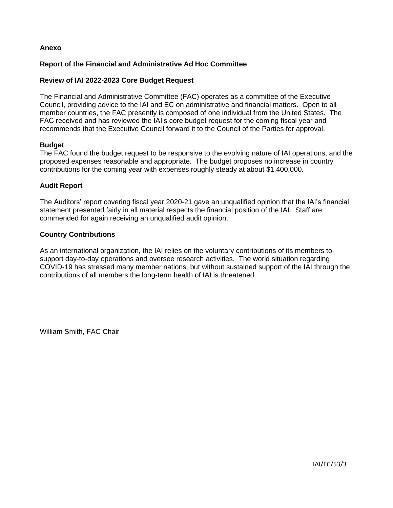### **Anexo**

### **Report of the Financial and Administrative Ad Hoc Committee**

#### **Review of IAI 2022-2023 Core Budget Request**

The Financial and Administrative Committee (FAC) operates as a committee of the Executive Council, providing advice to the IAI and EC on administrative and financial matters. Open to all member countries, the FAC presently is composed of one individual from the United States. The FAC received and has reviewed the IAI's core budget request for the coming fiscal year and recommends that the Executive Council forward it to the Council of the Parties for approval.

#### **Budget**

The FAC found the budget request to be responsive to the evolving nature of IAI operations, and the proposed expenses reasonable and appropriate. The budget proposes no increase in country contributions for the coming year with expenses roughly steady at about \$1,400,000.

#### **Audit Report**

The Auditors' report covering fiscal year 2020-21 gave an unqualified opinion that the IAI's financial statement presented fairly in all material respects the financial position of the IAI. Staff are commended for again receiving an unqualified audit opinion.

#### **Country Contributions**

As an international organization, the IAI relies on the voluntary contributions of its members to support day-to-day operations and oversee research activities. The world situation regarding COVID-19 has stressed many member nations, but without sustained support of the IAI through the contributions of all members the long-term health of IAI is threatened.

William Smith, FAC Chair